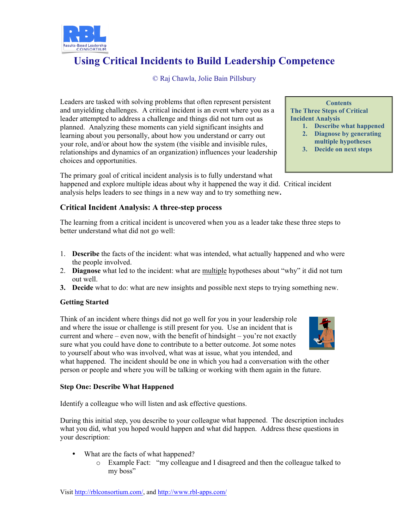

# **Using Critical Incidents to Build Leadership Competence**

© Raj Chawla, Jolie Bain Pillsbury

Leaders are tasked with solving problems that often represent persistent and unyielding challenges. A critical incident is an event where you as a leader attempted to address a challenge and things did not turn out as planned. Analyzing these moments can yield significant insights and learning about you personally, about how you understand or carry out your role, and/or about how the system (the visible and invisible rules, relationships and dynamics of an organization) influences your leadership choices and opportunities.

The primary goal of critical incident analysis is to fully understand what happened and explore multiple ideas about why it happened the way it did. Critical incident

analysis helps leaders to see things in a new way and to try something new**.** 

## **Critical Incident Analysis: A three-step process**

The learning from a critical incident is uncovered when you as a leader take these three steps to better understand what did not go well:

- 1. **Describe** the facts of the incident: what was intended, what actually happened and who were the people involved.
- 2. **Diagnose** what led to the incident: what are multiple hypotheses about "why" it did not turn out well.
- **3. Decide** what to do: what are new insights and possible next steps to trying something new.

### **Getting Started**

Think of an incident where things did not go well for you in your leadership role and where the issue or challenge is still present for you. Use an incident that is current and where – even now, with the benefit of hindsight – you're not exactly sure what you could have done to contribute to a better outcome. Jot some notes to yourself about who was involved, what was at issue, what you intended, and

what happened. The incident should be one in which you had a conversation with the other person or people and where you will be talking or working with them again in the future.

#### **Step One: Describe What Happened**

Identify a colleague who will listen and ask effective questions.

During this initial step, you describe to your colleague what happened. The description includes what you did, what you hoped would happen and what did happen. Address these questions in your description:

- What are the facts of what happened?
	- o Example Fact: "my colleague and I disagreed and then the colleague talked to my boss"

**Contents The Three Steps of Critical Incident Analysis 1. Describe what happened 2. Diagnose by generating multiple hypotheses 3. Decide on next steps**